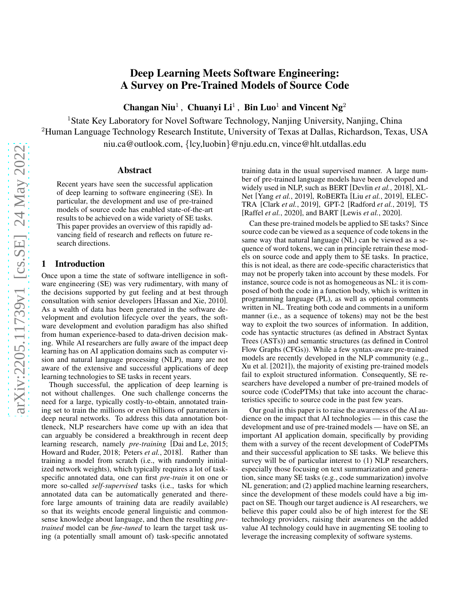# Deep Learning Meets Software Engineering: A Survey on Pre-Trained Models of Source Code

Changan Niu<sup>1</sup>, Chuanyi Li<sup>1</sup>, Bin Luo<sup>1</sup> and Vincent Ng<sup>2</sup>

<sup>1</sup>State Key Laboratory for Novel Software Technology, Nanjing University, Nanjing, China <sup>2</sup>Human Language Technology Research Institute, University of Texas at Dallas, Richardson, Texas, USA niu.ca@outlook.com, {lcy,luobin}@nju.edu.cn, vince@hlt.utdallas.edu

### Abstract

Recent years have seen the successful application of deep learning to software engineering (SE). In particular, the development and use of pre-trained models of source code has enabled state-of-the-art results to be achieved on a wide variety of SE tasks. This paper provides an overview of this rapidly advancing field of research and reflects on future research directions.

# 1 Introduction

Once upon a time the state of software intelligence in software engineering (SE) was very rudimentary, with many of the decisions supported by gut feeling and at best through consultation with senior developers [\[Hassan and Xie, 2010\]](#page-7-0). As a wealth of data has been generated in the software development and evolution lifecycle over the years, the software development and evolution paradigm has also shifted from human experience-based to data-driven decision making. While AI researchers are fully aware of the impact deep learning has on AI application domains such as computer vision and natural language processing (NLP), many are not aware of the extensive and successful applications of deep learning technologies to SE tasks in recent years.

Though successful, the application of deep learning is not without challenges. One such challenge concerns the need for a large, typically costly-to-obtain, annotated training set to train the millions or even billions of parameters in deep neural networks. To address this data annotation bottleneck, NLP researchers have come up with an idea that can arguably be considered a breakthrough in recent deep learning research, namely *pre-training* [\[Dai and Le, 2015;](#page-6-0) [Howard and Ruder, 2018;](#page-7-1) [Peters](#page-8-0) *et al.*, 2018]. Rather than training a model from scratch (i.e., with randomly initialized network weights), which typically requires a lot of taskspecific annotated data, one can first *pre-train* it on one or more so-called *self-supervised* tasks (i.e., tasks for which annotated data can be automatically generated and therefore large amounts of training data are readily available) so that its weights encode general linguistic and commonsense knowledge about language, and then the resulting *pretrained* model can be *fine-tuned* to learn the target task using (a potentially small amount of) task-specific annotated training data in the usual supervised manner. A large number of pre-trained language models have been developed and widely used in NLP, such as BERT [\[Devlin](#page-7-2) *et al.*, 2018], XL-Net [Yang *et al.*[, 2019\]](#page-9-0), RoBERTa [Liu *et al.*[, 2019\]](#page-7-3), ELEC-TRA [Clark *et al.*[, 2019\]](#page-6-1), GPT-2 [\[Radford](#page-8-1) *et al.*, 2019], T5 [\[Raffel](#page-8-2) *et al.*, 2020], and BART [Lewis *et al.*[, 2020\]](#page-7-4).

Can these pre-trained models be applied to SE tasks? Since source code can be viewed as a sequence of code tokens in the same way that natural language (NL) can be viewed as a sequence of word tokens, we can in principle retrain these models on source code and apply them to SE tasks. In practice, this is not ideal, as there are code-specific characteristics that may not be properly taken into account by these models. For instance, source code is not as homogeneous as NL: it is composed of both the code in a function body, which is written in programming language (PL), as well as optional comments written in NL. Treating both code and comments in a uniform manner (i.e., as a sequence of tokens) may not be the best way to exploit the two sources of information. In addition, code has syntactic structures (as defined in Abstract Syntax Trees (ASTs)) and semantic structures (as defined in Control Flow Graphs (CFGs)). While a few syntax-aware pre-trained models are recently developed in the NLP community (e.g., Xu et al. [\[2021\]](#page-9-1)), the majority of existing pre-trained models fail to exploit structured information. Consequently, SE researchers have developed a number of pre-trained models of source code (CodePTMs) that take into account the characteristics specific to source code in the past few years.

Our goal in this paper is to raise the awareness of the AI audience on the impact that AI technologies — in this case the development and use of pre-trained models — have on SE, an important AI application domain, specifically by providing them with a survey of the recent development of CodePTMs and their successful application to SE tasks. We believe this survey will be of particular interest to (1) NLP researchers, especially those focusing on text summarization and generation, since many SE tasks (e.g., code summarization) involve NL generation; and (2) applied machine learning researchers, since the development of these models could have a big impact on SE. Though our target audience is AI researchers, we believe this paper could also be of high interest for the SE technology providers, raising their awareness on the added value AI technology could have in augmenting SE tooling to leverage the increasing complexity of software systems.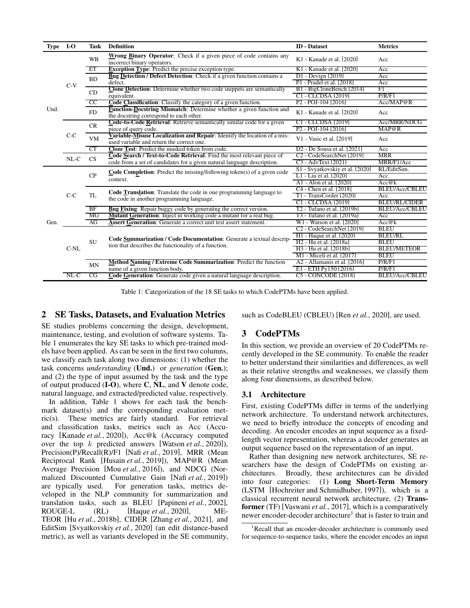<span id="page-1-0"></span>

| Type | $I-O$  | <b>Task</b> | <b>Definition</b>                                                                                                     | <b>ID</b> - Dataset                          | <b>Metrics</b>        |  |  |
|------|--------|-------------|-----------------------------------------------------------------------------------------------------------------------|----------------------------------------------|-----------------------|--|--|
|      |        | <b>WB</b>   | Wrong Binary Operator: Check if a given piece of code contains any<br>incorrect binary operators.                     | K1 - Kanade et al. [2020]                    | Acc                   |  |  |
|      |        | ET          | <b>Exception Type:</b> Predict the precise exception type.                                                            | K1 - Kanade et al. [2020]                    | Acc                   |  |  |
|      |        | <b>BD</b>   | <b>Bug Detection / Defect Detection:</b> Check if a given function contains a                                         | $DI - Devign [2019]$                         | Acc                   |  |  |
|      | $C-V$  |             | defect.                                                                                                               | P1 - Pradel et al. [2018]                    | Acc                   |  |  |
|      |        | CD          | <b>Clone Detection:</b> Determine whether two code snippets are semantically                                          | B1 - BigCloneBench [2014]                    | F1                    |  |  |
|      |        |             | equivalent.                                                                                                           | C1 - CLCDSA [2019]                           | P/R/F1                |  |  |
|      |        | CC          | <b>Code Classification:</b> Classify the category of a given function.                                                | P <sub>2</sub> - P <sub>OJ</sub> -104   2016 | Acc/MAP@R             |  |  |
| Und. |        | <b>FD</b>   | <b>Function-Docstring Mismatch:</b> Determine whether a given function and<br>the docstring correspond to each other. | K1 - Kanade et al. [2020]                    | Acc                   |  |  |
|      |        | CR          | Code-to-Code Retrieval: Retrieve semantically similar code for a given                                                | C <sub>1</sub> - CLCDSA [2019]               | Acc/MRR/NDCG          |  |  |
|      |        |             | piece of query code.                                                                                                  | $P2 - POJ-104$ [2016]                        | MAP@R                 |  |  |
|      | $C-C$  | <b>VM</b>   | Variable-Misuse Localization and Repair: Identify the location of a mis-<br>used variable and return the correct one. | V1 - Vasic et al. [2019]                     | Acc                   |  |  |
|      |        | СT          | Cloze Test: Predict the masked token from code.                                                                       | D <sub>2</sub> - De Sousa et al. [2021]      | Acc                   |  |  |
|      | $NL-C$ | CS          | Code Search / Text-to-Code Retrieval: Find the most relevant piece of                                                 | C <sub>2</sub> - CodeSearchNet [2019]        | MRR                   |  |  |
|      |        |             | code from a set of candidates for a given natural language description.                                               | C <sub>3</sub> - AdvText [2021]              | MRR/F1/Acc            |  |  |
|      |        |             | $\textbf{Code}$ Completion: Predict the missing/following token(s) of a given code                                    | S1 - Svyatkovskiy et al. [2020]              | RL/EditSim.           |  |  |
|      |        | CP          | context.                                                                                                              | L1 - Liu et al. [2020]                       | Acc                   |  |  |
|      |        |             |                                                                                                                       | A1 - Alon et al. [2020]                      | Acc@k                 |  |  |
|      |        |             | Code Translation: Translate the code in one programming language to                                                   | C4 - Chen et al. [2018]                      | <b>BLEU/Acc/CBLEU</b> |  |  |
|      | $C-C$  | TL          | the code in another programming language.                                                                             | T1 - TransCorder [2020]                      | Acc                   |  |  |
|      |        |             |                                                                                                                       | C1 - CLCDSA [2019]                           | <b>BLEU/RL/CIDER</b>  |  |  |
|      |        | BF          | <b>Bug Fixing:</b> Repair buggy code by generating the correct version.                                               | T2 - Tufano et al. 12019bl                   | <b>BLEU/Acc/CBLEU</b> |  |  |
|      |        | MG          | Mutant Generation: Inject in working code a mutant for a real bug.                                                    | T3 - Tufano et al. [2019a]                   | Acc                   |  |  |
| Gen. |        | AG          | <b>Assert Generation:</b> Generate a correct unit test assert statement.                                              | W1 - Watson et al. [2020]                    | Acc@k                 |  |  |
|      |        |             |                                                                                                                       | C <sub>2</sub> - CodeSearchNet [2019]        | <b>BLEU</b>           |  |  |
|      |        |             | Code Summarization / Code Documentation: Generate a textual descrip-                                                  | H1 - Haque et al. [2020]                     | <b>BLEU/RL</b>        |  |  |
|      |        | <b>SU</b>   | tion that describes the functionality of a function.                                                                  | H <sub>2</sub> - Hu et al. [2018a]           | <b>BLEU</b>           |  |  |
|      | C-NL   |             |                                                                                                                       | H <sub>3</sub> - Hu et al. [2018b]           | <b>BLEU/METEOR</b>    |  |  |
|      |        |             |                                                                                                                       | M1 - Miceli et al. [2017]                    | <b>BLEU</b>           |  |  |
|      |        | MN          | <b>Method Naming / Extreme Code Summarization: Predict the function</b>                                               | A2 - Allamanis et al. [2016]                 | P/R/F1                |  |  |
|      |        |             | name of a given function body.                                                                                        | E1 - ETH Py150 [2016]                        | P/R/F1                |  |  |
|      | $NL-C$ | CG          | Code Generation: Generate code given a natural language description.                                                  | <b>C5 - CONCODE [2018]</b>                   | <b>BLEU/Acc/CBLEU</b> |  |  |

Table 1: Categorization of the 18 SE tasks to which CodePTMs have been applied.

# 2 SE Tasks, Datasets, and Evaluation Metrics

SE studies problems concerning the design, development, maintenance, testing, and evolution of software systems. Table [1](#page-1-0) enumerates the key SE tasks to which pre-trained models have been applied. As can be seen in the first two columns, we classify each task along two dimensions: (1) whether the task concerns *understanding* (Und.) or *generation* (Gen.); and (2) the type of input assumed by the task and the type of output produced  $(I-O)$ , where C, NL, and V denote code, natural language, and extracted/predicted value, respectively.

In addition, Table [1](#page-1-0) shows for each task the benchmark dataset(s) and the corresponding evaluation metric(s). These metrics are fairly standard. For retrieval and classification tasks, metrics such as Acc (Accuracy [\[Kanade](#page-7-5) *et al.*, 2020]), Acc@k (Accuracy computed over the top k predicted answers [\[Watson](#page-9-3) *et al.*, 2020]), Precision(P)/Recall(R)/F1 [Nafi *et al.*[, 2019\]](#page-8-5), MRR (Mean Reciprocal Rank [\[Husain](#page-7-7) *et al.*, 2019]), MAP@R (Mean Average Precision [Mou *et al.*[, 2016\]](#page-8-6)), and NDCG (Normalized Discounted Cumulative Gain [Nafi *et al.*[, 2019\]](#page-8-5)) are typically used. For generation tasks, metrics developed in the NLP community for summarization and translation tasks, such as BLEU [\[Papineni](#page-8-14) *et al.*, 2002], ROUGE-L (RL) [\[Haque](#page-7-10) *et al.*, 2020], ME-TEOR [Hu *et al.*[, 2018b\]](#page-7-12), CIDER [\[Zhang](#page-9-4) *et al.*, 2021], and EditSim [\[Svyatkovskiy](#page-8-8) *et al.*, 2020] (an edit distance-based metric), as well as variants developed in the SE community, such as CodeBLEU (CBLEU) [Ren *et al.*[, 2020\]](#page-8-15), are used.

# 3 CodePTMs

In this section, we provide an overview of 20 CodePTMs recently developed in the SE community. To enable the reader to better understand their similarities and differences, as well as their relative strengths and weaknesses, we classify them along four dimensions, as described below.

#### 3.1 Architecture

First, existing CodePTMs differ in terms of the underlying network architecture. To understand network architectures, we need to briefly introduce the concepts of encoding and decoding. An encoder encodes an input sequence as a fixedlength vector representation, whereas a decoder generates an output sequence based on the representation of an input.

Rather than designing new network architectures, SE researchers base the design of CodePTMs on existing architectures. Broadly, these architectures can be divided into four categories: (1) Long Short-Term Memory (LSTM [\[Hochreiter and Schmidhuber, 1997\]](#page-7-14)), which is a classical recurrent neural network architecture, (2) Transformer (TF) [\[Vaswani](#page-8-16) *et al.*, 2017], which is a comparatively newer encoder-decoder architecture<sup>[1](#page-1-1)</sup> that is faster to train and

<span id="page-1-1"></span><sup>&</sup>lt;sup>1</sup>Recall that an encoder-decoder architecture is commonly used for sequence-to-sequence tasks, where the encoder encodes an input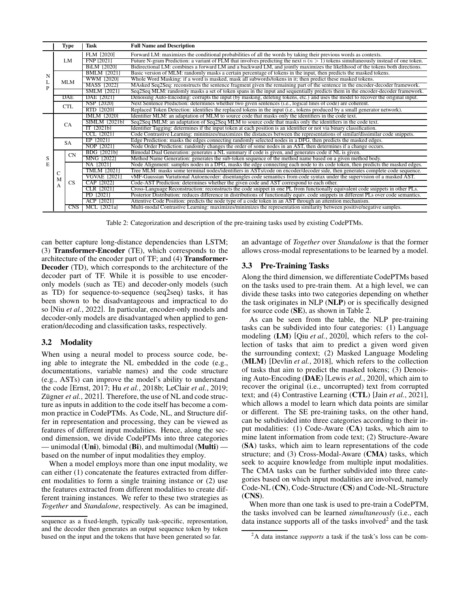<span id="page-2-0"></span>

|   |   | Type       | Task                | <b>Full Name and Description</b>                                                                                                       |
|---|---|------------|---------------------|----------------------------------------------------------------------------------------------------------------------------------------|
|   |   |            | FLM [2020]          | Forward LM: maximizes the conditional probabilities of all the words by taking their previous words as contexts.                       |
|   |   | LM         | <b>FNP 2021</b>     | Future N-gram Prediction: a variant of FLM that involves predicting the next $n (n > 1)$ tokens simultaneously instead of one token.   |
|   |   |            | BiLM [2020]         | Bidirectional LM: combines a forward LM and a backward LM, and jointly maximizes the likelihood of the tokens both directions.         |
| N |   |            | <b>BMLM</b>  2021   | Basic version of MLM: randomly masks a certain percentage of tokens in the input, then predicts the masked tokens.                     |
| L |   | <b>MLM</b> | WWM [2020]          | Whole Word Masking: if a word is masked, mask all subwords/tokens in it; then predict these masked tokens.                             |
| P |   |            | MASS [2022]         | MAsked Seq2Seq: reconstructs the sentence fragment given the remaining part of the sentence in the encoder-decoder framework.          |
|   |   |            | <b>SMLM 120211</b>  | Seq2Seq MLM: randomly masks a set of token spans in the input and sequentially predicts them in the encoder-decoder framework.         |
|   |   | <b>DAE</b> | DAE 120211          | Denoising Auto-Encoding: corrupts the input (by masking, deleting tokens, etc.) and uses the model to recover the original input.      |
|   |   | <b>CTL</b> | NSP [2020]          | Next Sentence Prediction: determines whether two given sentences (i.e., logical lines of code) are coherent.                           |
|   |   |            | RTD  2020           | Replaced Token Detection: identifies the replaced tokens in the input (i.e., tokens produced by a small generator network).            |
|   |   |            | IMLM 120201         | Identifier MLM: an adaptation of MLM to source code that masks only the identifiers in the code text.                                  |
|   |   | <b>CA</b>  | SIMLM [2021b]       | Seq2Seq IMLM: an adaptation of Seq2Seq MLM to source code that masks only the identifiers in the code text.                            |
|   |   |            | IT $[2021b]$        | Identifier Tagging: determines if the input token at each position is an identifier or not via binary classification.                  |
|   |   |            | CCL [2021]          | Code Contrastive Learning: minimizes/maximizes the distances between the representations of similar/dissimilar code snippets.          |
|   |   | <b>SA</b>  | EP [2021]           | Edge Prediction: masks the edges connecting randomly selected nodes in a DFG, then predicts the masked edges.                          |
|   |   |            | NOP [2021]          | Node Order Prediction: randomly changes the order of some nodes in an AST, then determines if a change occurs.                         |
|   |   | CN         | BDG [2021b]         | Bimodal Dual Generation: generates a NL summary if code is given, and generates code if NL is given.                                   |
| S |   |            | MNG 120221          | Method Name Generation: generates the sub-token sequence of the method name based on a given method body.                              |
| E |   |            | NA [2021]           | Node Alignment: samples nodes in a DFG, masks the edge connecting each node to its code token, then predicts the masked edges.         |
|   | С |            | <b>TMLM</b> [2021]  | Tree MLM: masks some terminal nodes/identifiers in ASTs/code on encoder/decoder side, then generates complete code sequence.           |
|   | M |            | <b>VGVAE 120211</b> | vMF-Gaussian Variational Autoencoder: disentangles code semantics from code syntax under the supervision of a masked AST.              |
|   | A | <b>CS</b>  | CAP [2022]          | Code-AST Prediction: determines whether the given code and AST correspond to each other.                                               |
|   |   |            | CLR [2021]          | Cross-Language Reconstruction: reconstructs the code snippet in one PL from functionally equivalent code snippets in other PLs.        |
|   |   |            | PD  2021            | Posterior Distribution: reduces difference in distributions of functionally equiv, code snippets in different PLs over code semantics. |
|   |   |            | ACP 2021            | Attentive Code Position: predicts the node type of a code token in an AST through an attention mechanism.                              |
|   |   | <b>CNS</b> | MCL 12021al         | Multi-modal Contrastive Learning: maximizes/minimizes the representation similarity between positive/negative samples.                 |

Table 2: Categorization and description of the pre-training tasks used by existing CodePTMs.

can better capture long-distance dependencies than LSTM; (3) Transformer-Encoder (TE), which corresponds to the architecture of the encoder part of TF; and (4) Transformer-Decoder (TD), which corresponds to the architecture of the decoder part of TF. While it is possible to use encoderonly models (such as TE) and decoder-only models (such as TD) for sequence-to-sequence (seq2seq) tasks, it has been shown to be disadvantageous and impractical to do so [Niu *et al.*[, 2022\]](#page-8-18). In particular, encoder-only models and decoder-only models are disadvantaged when applied to generation/decoding and classification tasks, respectively.

### 3.2 Modality

When using a neural model to process source code, being able to integrate the NL embedded in the code (e.g., documentations, variable names) and the code structure (e.g., ASTs) can improve the model's ability to understand the code [\[Ernst, 2017;](#page-7-20) Hu *et al.*[, 2018b;](#page-7-12) [LeClair](#page-7-21) *et al.*, 2019; Zügner *et al.*, 2021]. Therefore, the use of NL and code structure as inputs in addition to the code itself has become a common practice in CodePTMs. As Code, NL, and Structure differ in representation and processing, they can be viewed as features of different input modalities. Hence, along the second dimension, we divide CodePTMs into three categories — unimodal (Uni), bimodal (Bi), and multimodal (Multi) based on the number of input modalities they employ.

When a model employs more than one input modality, we can either (1) concatenate the features extracted from different modalities to form a single training instance or (2) use the features extracted from different modalities to create different training instances. We refer to these two strategies as *Together* and *Standalone*, respectively. As can be imagined, an advantage of *Together* over *Standalone* is that the former allows cross-modal representations to be learned by a model.

# <span id="page-2-2"></span>3.3 Pre-Training Tasks

Along the third dimension, we differentiate CodePTMs based on the tasks used to pre-train them. At a high level, we can divide these tasks into two categories depending on whether the task originates in NLP (NLP) or is specifically designed for source code (SE), as shown in Table [2.](#page-2-0)

As can be seen from the table, the NLP pre-training tasks can be subdivided into four categories: (1) Language modeling (LM) [Qiu *et al.*[, 2020\]](#page-8-20), which refers to the collection of tasks that aim to predict a given word given the surrounding context; (2) Masked Language Modeling (MLM) [\[Devlin](#page-7-2) *et al.*, 2018], which refers to the collection of tasks that aim to predict the masked tokens; (3) Denoising Auto-Encoding (DAE) [Lewis *et al.*[, 2020\]](#page-7-4), which aim to recover the original (i.e., uncorrupted) text from corrupted text; and (4) Contrastive Learning (CTL) [Jain *et al.*[, 2021\]](#page-7-22), which allows a model to learn which data points are similar or different. The SE pre-training tasks, on the other hand, can be subdivided into three categories according to their input modalities: (1) Code-Aware (CA) tasks, which aim to mine latent information from code text; (2) Structure-Aware (SA) tasks, which aim to learn representations of the code structure; and (3) Cross-Modal-Aware (CMA) tasks, which seek to acquire knowledge from multiple input modalities. The CMA tasks can be further subdivided into three categories based on which input modalities are involved, namely Code-NL (CN), Code-Structure (CS) and Code-NL-Structure (CNS).

When more than one task is used to pre-train a CodePTM, the tasks involved can be learned *simultaneously* (i.e., each data instance supports all of the tasks involved<sup>[2](#page-2-1)</sup> and the task

sequence as a fixed-length, typically task-specific, representation, and the decoder then generates an output sequence token by token based on the input and the tokens that have been generated so far.

<span id="page-2-1"></span><sup>2</sup>A data instance *supports* a task if the task's loss can be com-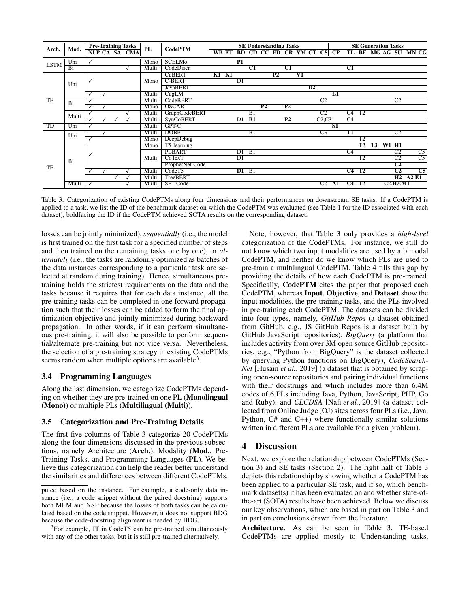<span id="page-3-1"></span>

|               |       | <b>Pre-Training Tasks</b> |  | PL            | <b>CodePTM</b> |                 |           |              |       |    | <b>SE Understanding Tasks</b> |                         |                  |                 |                |             | <b>SE Generation Tasks</b> |                |    |            |                |                                                |    |
|---------------|-------|---------------------------|--|---------------|----------------|-----------------|-----------|--------------|-------|----|-------------------------------|-------------------------|------------------|-----------------|----------------|-------------|----------------------------|----------------|----|------------|----------------|------------------------------------------------|----|
| Arch.         | Mod.  |                           |  | NLP CA SA CMA |                |                 | WB ET     |              |       |    |                               | BD CD CC FD CR VM CT CS |                  |                 |                | $_{\rm CP}$ |                            |                |    |            |                | TL BF MG AG SU MN CG                           |    |
| <b>LSTM</b>   | Uni   | ✓                         |  |               | Mono           | <b>SCELMo</b>   |           | <b>P1</b>    |       |    |                               |                         |                  |                 |                |             |                            |                |    |            |                |                                                |    |
|               | Bi    |                           |  |               | Multi          | CodeDisen       |           |              | C1    |    |                               | C1                      |                  |                 |                |             | C1                         |                |    |            |                |                                                |    |
|               |       |                           |  |               |                | <b>CuBERT</b>   | $K1$ $K1$ |              |       |    | P <sub>2</sub>                |                         | $_{\mathrm{VI}}$ |                 |                |             |                            |                |    |            |                |                                                |    |
|               | Uni   | $\checkmark$              |  |               | Mono           | <b>C-BERT</b>   |           | D1           |       |    |                               |                         |                  |                 |                |             |                            |                |    |            |                |                                                |    |
|               |       |                           |  |               |                | <b>JavaBERT</b> |           |              |       |    |                               |                         |                  | $\overline{D2}$ |                |             |                            |                |    |            |                |                                                |    |
|               |       |                           |  |               | Multi          | CugLM           |           |              |       |    |                               |                         |                  |                 |                | L1          |                            |                |    |            |                |                                                |    |
| TE            | Bi    |                           |  |               | Multi          | CodeBERT        |           |              |       |    |                               |                         |                  |                 | C2             |             |                            |                |    |            | C2             |                                                |    |
|               |       |                           |  |               | Mono           | <b>OSCAR</b>    |           |              |       | P2 |                               | P <sub>2</sub>          |                  |                 |                |             |                            |                |    |            |                |                                                |    |
|               | Multi |                           |  |               | Multi          | GraphCodeBERT   |           |              | B1    |    |                               |                         |                  |                 | C <sub>2</sub> |             | $C4$ T <sub>2</sub>        |                |    |            |                |                                                |    |
|               |       |                           |  |               | Multi          | SynCoBERT       |           | D1 <b>B1</b> |       |    |                               | P2                      |                  |                 | C2, C3         |             | C4                         |                |    |            |                |                                                |    |
| <sup>TD</sup> | Uni   |                           |  |               | Multi          | GPT-C           |           |              |       |    |                               |                         |                  |                 |                | S1          |                            |                |    |            |                |                                                |    |
|               | Uni   |                           |  |               | Multi          | <b>DOBF</b>     |           |              | B1    |    |                               |                         |                  |                 | C <sub>3</sub> |             | T1                         |                |    |            | C <sub>2</sub> |                                                |    |
|               |       | v                         |  |               | Mono           | DeepDebug       |           |              |       |    |                               |                         |                  |                 |                |             |                            | T <sub>2</sub> |    |            |                |                                                |    |
|               | Bi    |                           |  |               | Mono           | T5-learning     |           |              |       |    |                               |                         |                  |                 |                |             |                            | T2             | T3 | W1 H1      |                |                                                |    |
|               |       |                           |  |               |                |                 | PLBART    |              | D1 B1 |    |                               |                         |                  |                 |                |             |                            | C4             |    |            |                | C2                                             | C5 |
|               |       | √                         |  |               | Multi          | CoTextT         |           | D1           |       |    |                               |                         |                  |                 |                |             |                            | T2             |    |            | C2             | C <sub>5</sub>                                 |    |
| TF            |       |                           |  |               |                | ProphetNet-Code |           |              |       |    |                               |                         |                  |                 |                |             |                            |                |    |            | C2             |                                                |    |
|               |       |                           |  |               | Multi          | CodeT5          |           | $D1$ B1      |       |    |                               |                         |                  |                 |                |             | $C4$ T <sub>2</sub>        |                |    |            | C2             | C5                                             |    |
|               |       |                           |  |               | Multi          | TreeBERT        |           |              |       |    |                               |                         |                  |                 |                |             |                            |                |    |            |                | H <sub>2</sub> A <sub>2</sub> , E <sub>1</sub> |    |
|               | Multi | $\checkmark$              |  |               | Multi          | SPT-Code        |           |              |       |    |                               |                         |                  |                 | C <sub>2</sub> | A1          | C <sub>4</sub>             | T2             |    | C2, H3, M1 |                |                                                |    |

Table 3: Categorization of existing CodePTMs along four dimensions and their performances on downstream SE tasks. If a CodePTM is applied to a task, we list the ID of the benchmark dataset on which the CodePTM was evaluated (see Table [1](#page-1-0) for the ID associated with each dataset), boldfacing the ID if the CodePTM achieved SOTA results on the corresponding dataset.

losses can be jointly minimized), *sequentially* (i.e., the model is first trained on the first task for a specified number of steps and then trained on the remaining tasks one by one), or *alternately* (i.e., the tasks are randomly optimized as batches of the data instances corresponding to a particular task are selected at random during training). Hence, simultaneous pretraining holds the strictest requirements on the data and the tasks because it requires that for each data instance, all the pre-training tasks can be completed in one forward propagation such that their losses can be added to form the final optimization objective and jointly minimized during backward propagation. In other words, if it can perform simultaneous pre-training, it will also be possible to perform sequential/alternate pre-training but not vice versa. Nevertheless, the selection of a pre-training strategy in existing CodePTMs seems random when multiple options are available<sup>[3](#page-3-0)</sup>.

### 3.4 Programming Languages

Along the last dimension, we categorize CodePTMs depending on whether they are pre-trained on one PL (Monolingual (Mono)) or multiple PLs (Multilingual (Multi)).

# 3.5 Categorization and Pre-Training Details

The first five columns of Table [3](#page-3-1) categorize 20 CodePTMs along the four dimensions discussed in the previous subsections, namely Architecture (Arch.), Modality (Mod., Pre-Training Tasks, and Programming Languages (PL). We believe this categorization can help the reader better understand the similarities and differences between different CodePTMs.

Note, however, that Table [3](#page-3-1) only provides a *high-level* categorization of the CodePTMs. For instance, we still do not know which two input modalities are used by a bimodal CodePTM, and neither do we know which PLs are used to pre-train a multilingual CodePTM. Table [4](#page-4-0) fills this gap by providing the details of how each CodePTM is pre-trained. Specifically, CodePTM cites the paper that proposed each CodePTM, whereas Input, Objective, and Dataset show the input modalities, the pre-training tasks, and the PLs involved in pre-training each CodePTM. The datasets can be divided into four types, namely, *GitHub Repos* (a dataset obtained from GitHub, e.g., JS GitHub Repos is a dataset built by GitHub JavaScript repositories), *BigQuery* (a platform that includes activity from over 3M open source GitHub repositories, e.g., "Python from BigQuery" is the dataset collected by querying Python functions on BigQuery), *CodeSearch-Net* [\[Husain](#page-7-7) *et al.*, 2019] (a dataset that is obtained by scraping open-source repositories and pairing individual functions with their docstrings and which includes more than 6.4M codes of 6 PLs including Java, Python, JavaScript, PHP, Go and Ruby), and *CLCDSA* [Nafi *et al.*[, 2019\]](#page-8-5) (a dataset collected from Online Judge (OJ) sites across four PLs (i.e., Java, Python, C# and C++) where functionally similar solutions written in different PLs are available for a given problem).

#### 4 Discussion

Next, we explore the relationship between CodePTMs (Section 3) and SE tasks (Section 2). The right half of Table [3](#page-3-1) depicts this relationship by showing whether a CodePTM has been applied to a particular SE task, and if so, which benchmark dataset(s) it has been evaluated on and whether state-ofthe-art (SOTA) results have been achieved. Below we discuss our key observations, which are based in part on Table [3](#page-3-1) and in part on conclusions drawn from the literature.

Architecture. As can be seen in Table [3,](#page-3-1) TE-based CodePTMs are applied mostly to Understanding tasks,

puted based on the instance. For example, a code-only data instance (i.e., a code snippet without the paired docstring) supports both MLM and NSP because the losses of both tasks can be calculated based on the code snippet. However, it does not support BDG because the code-docstring alignment is needed by BDG.

<span id="page-3-0"></span><sup>&</sup>lt;sup>3</sup>For example, IT in CodeT5 can be pre-trained simultaneously with any of the other tasks, but it is still pre-trained alternatively.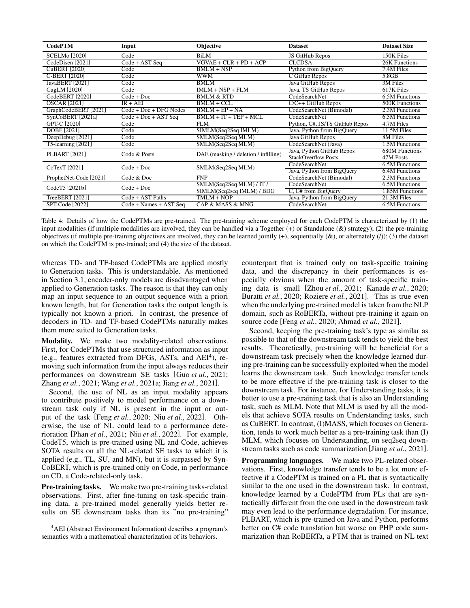<span id="page-4-0"></span>

| <b>CodePTM</b>         | Input                       | Objective                            | <b>Dataset</b>                 | <b>Dataset Size</b> |
|------------------------|-----------------------------|--------------------------------------|--------------------------------|---------------------|
| <b>SCELMo</b> [2020]   | Code                        | BiLM                                 | JS GitHub Repos                | 150K Files          |
| CodeDisen [2021]       | $Code + \overline{AST}$ Seq | $VGVAE + CLR + PD + ACP$             | <b>CLCDSA</b>                  | 26K Functions       |
| <b>CuBERT</b> [2020]   | Code                        | $BMLM + NSP$                         | Python from BigQuery           | 7.4M Files          |
| C-BERT [2020]          | Code                        | <b>WWM</b>                           | C GiHub Repos                  | 5.8GB               |
| JavaBERT [2021]        | Code                        | <b>BMLM</b>                          | Java GitHub Repos              | 3M Files            |
| CugLM [2020]           | Code                        | $IMLM + NSP + FLM$                   | Java, TS GitHub Repos          | 617K Files          |
| CodeBERT [2020]        | $Code + Doc$                | <b>BMLM &amp; RTD</b>                | CodeSearchNet                  | 6.5M Functions      |
| <b>OSCAR</b> [2021]    | $IR + AEI$                  | $BMLM + CCL$                         | $C/C++$ GitHub Repos           | 500K Functions      |
| GraphCodeBERT [2021]   | $Code + Doc + DFG Nodes$    | $BMLM + EP + NA$                     | CodeSearchNet (Bimodal)        | 2.3M Functions      |
| SynCoBERT [2021a]      | $Code + Doc + AST Seq$      | $BMLM + IT + TEP + MCL$              | CodeSearchNet                  | 6.5M Functions      |
| GPT-C [2020]           | Code                        | <b>FLM</b>                           | Python, C#, JS/TS GitHub Repos | 4.7M Files          |
| DOBF [2021]            | Code                        | SIMLM(Seq2Seq IMLM)                  | Java, Python from BigQuery     | 11.5M Files         |
| DeepDebug [2021]       | Code                        | SMLM(Seq2Seq MLM)                    | Java GitHub Repos              | 8M Files            |
| T5-learning [2021]     | Code                        | SMLM(Seq2Seq MLM)                    | CodeSearchNet (Java)           | 1.5M Functions      |
| <b>PLBART</b> [2021]   | Code & Posts                | DAE (masking / deletion / infilling) | Java, Python GitHub Repos      | 680M Functions      |
|                        |                             |                                      | <b>StackOverflow Posts</b>     | 47M Posts           |
| CoTexT [2021]          | $Code + Doc$                | SMLM(Seq2Seq MLM)                    | CodeSearchNet                  | 6.5M Functions      |
|                        |                             |                                      | Java, Python from BigQuery     | 6.4M Functions      |
| ProphetNet-Code [2021] | Code & Doc                  | <b>FNP</b>                           | CodeSearchNet (Bimodal)        | 2.3M Functions      |
| $CodeT5$ [2021b]       | $Code + Doc$                | SMLM(Seq2Seq MLM) / IT /             | CodeSearchNet                  | 6.5M Functions      |
|                        |                             | SIMLM(Seq2seq IMLM) / BDG            | $C, C#$ from BigQuery          | 1.85M Functions     |
| TreeBERT [2021]        | Code + AST Paths            | TMLM + NOP                           | Java, Python from BigQuery     | 21.3M Files         |
| SPT-Code [2022]        | $Code + Names + ASTSeq$     | CAP & MASS & MNG                     | CodeSearchNet                  | 6.5M Functions      |

Table 4: Details of how the CodePTMs are pre-trained. The pre-training scheme employed for each CodePTM is characterized by (1) the input modalities (if multiple modalities are involved, they can be handled via a Together  $(+)$  or Standalone  $(\&)$  strategy); (2) the pre-training objectives (if multiple pre-training objectives are involved, they can be learned jointly  $(+)$ , sequentially  $(\&)$ , or alternately  $(/))$ ; (3) the dataset on which the CodePTM is pre-trained; and (4) the size of the dataset.

whereas TD- and TF-based CodePTMs are applied mostly to Generation tasks. This is understandable. As mentioned in Section 3.1, encoder-only models are disadvantaged when applied to Generation tasks. The reason is that they can only map an input sequence to an output sequence with a priori known length, but for Generation tasks the output length is typically not known a priori. In contrast, the presence of decoders in TD- and TF-based CodePTMs naturally makes them more suited to Generation tasks.

Modality. We make two modality-related observations. First, for CodePTMs that use structured information as input (e.g., features extracted from DFGs, ASTs, and  $AEI<sup>4</sup>$  $AEI<sup>4</sup>$  $AEI<sup>4</sup>$ ), removing such information from the input always reduces their performances on downstream SE tasks [Guo *et al.*[, 2021;](#page-7-18) Zhang *et al.*[, 2021;](#page-9-4) Wang *et al.*[, 2021a;](#page-9-6) Jiang *et al.*[, 2021\]](#page-7-19).

Second, the use of NL as an input modality appears to contribute positively to model performance on a downstream task only if NL is present in the input or output of the task [Feng *et al.*[, 2020;](#page-7-17) Niu *et al.*[, 2022\]](#page-8-18). Otherwise, the use of NL could lead to a performance deterioration [Phan *et al.*[, 2021;](#page-8-22) Niu *et al.*[, 2022\]](#page-8-18). For example, CodeT5, which is pre-trained using NL and Code, achieves SOTA results on all the NL-related SE tasks to which it is applied (e.g., TL, SU, and MN), but it is surpassed by Syn-CoBERT, which is pre-trained only on Code, in performance on CD, a Code-related-only task.

Pre-training tasks. We make two pre-training tasks-related observations. First, after fine-tuning on task-specific training data, a pre-trained model generally yields better results on SE downstream tasks than its "no pre-training" counterpart that is trained only on task-specific training data, and the discrepancy in their performances is especially obvious when the amount of task-specific training data is small [Zhou *et al.*[, 2021;](#page-9-8) [Kanade](#page-7-5) *et al.*, 2020; [Buratti](#page-6-5) *et al.*, 2020; [Roziere](#page-8-21) *et al.*, 2021]. This is true even when the underlying pre-trained model is taken from the NLP domain, such as RoBERTa, without pre-training it again on source code [Feng *et al.*[, 2020;](#page-7-17) [Ahmad](#page-6-6) *et al.*, 2021].

Second, keeping the pre-training task's type as similar as possible to that of the downstream task tends to yield the best results. Theoretically, pre-training will be beneficial for a downstream task precisely when the knowledge learned during pre-training can be successfully exploited when the model learns the downstream task. Such knowledge transfer tends to be more effective if the pre-training task is closer to the downstream task. For instance, for Understanding tasks, it is better to use a pre-training task that is also an Understanding task, such as MLM. Note that MLM is used by all the models that achieve SOTA results on Understanding tasks, such as CuBERT. In contrast, (I)MASS, which focuses on Generation, tends to work much better as a pre-training task than (I) MLM, which focuses on Understanding, on seq2seq downstream tasks such as code summarization [Jiang *et al.*[, 2021\]](#page-7-19).

Programming languages. We make two PL-related observations. First, knowledge transfer tends to be a lot more effective if a CodePTM is trained on a PL that is syntactically similar to the one used in the downstream task. In contrast, knowledge learned by a CodePTM from PLs that are syntactically different from the one used in the downstream task may even lead to the performance degradation. For instance, PLBART, which is pre-trained on Java and Python, performs better on C# code translation but worse on PHP code summarization than RoBERTa, a PTM that is trained on NL text

<span id="page-4-1"></span><sup>4</sup>AEI (Abstract Environment Information) describes a program's semantics with a mathematical characterization of its behaviors.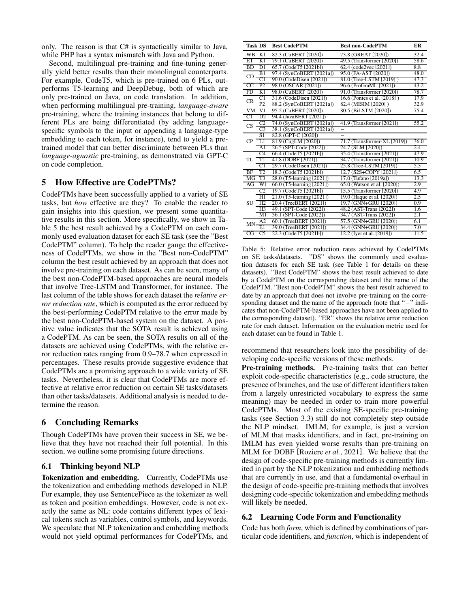only. The reason is that C# is syntactically similar to Java, while PHP has a syntax mismatch with Java and Python.

Second, multilingual pre-training and fine-tuning generally yield better results than their monolingual counterparts. For example, CodeT5, which is pre-trained on 6 PLs, outperforms T5-learning and DeepDebug, both of which are only pre-trained on Java, on code translation. In addition, when performing multilingual pre-training, *language-aware* pre-training, where the training instances that belong to different PLs are being differentiated (by adding languagespecific symbols to the input or appending a language-type embedding to each token, for instance), tend to yield a pretrained model that can better discriminate between PLs than *language-agnostic* pre-training, as demonstrated via GPT-C on code completion.

# 5 How Effective are CodePTMs?

CodePTMs have been successfully applied to a variety of SE tasks, but *how* effective are they? To enable the reader to gain insights into this question, we present some quantitative results in this section. More specifically, we show in Table [5](#page-5-0) the best result achieved by a CodePTM on each commonly used evaluation dataset for each SE task (see the "Best CodePTM" column). To help the reader gauge the effectiveness of CodePTMs, we show in the "Best non-CodePTM" column the best result achieved by an approach that does not involve pre-training on each dataset. As can be seen, many of the best non-CodePTM-based approaches are neural models that involve Tree-LSTM and Transformer, for instance. The last column of the table shows for each dataset the *relative error reduction rate*, which is computed as the error reduced by the best-performing CodePTM relative to the error made by the best non-CodePTM-based system on the dataset. A positive value indicates that the SOTA result is achieved using a CodePTM. As can be seen, the SOTA results on all of the datasets are achieved using CodePTMs, with the relative error reduction rates ranging from 0.9–78.7 when expressed in percentages. These results provide suggestive evidence that CodePTMs are a promising approach to a wide variety of SE tasks. Nevertheless, it is clear that CodePTMs are more effective at relative error reduction on certain SE tasks/datasets than other tasks/datasets. Additional analysis is needed to determine the reason.

# 6 Concluding Remarks

Though CodePTMs have proven their success in SE, we believe that they have not reached their full potential. In this section, we outline some promising future directions.

### <span id="page-5-1"></span>6.1 Thinking beyond NLP

Tokenization and embedding. Currently, CodePTMs use the tokenization and embedding methods developed in NLP. For example, they use SentencePiece as the tokenizer as well as token and position embeddings. However, code is not exactly the same as NL: code contains different types of lexical tokens such as variables, control symbols, and keywords. We speculate that NLP tokenization and embedding methods would not yield optimal performances for CodePTMs, and

<span id="page-5-0"></span>

| <b>Task DS</b>              | <b>Best CodePTM</b>       | <b>Best non-CodePTM</b>      | ER   |  |
|-----------------------------|---------------------------|------------------------------|------|--|
| WB<br>K1                    | 82.3 (CuBERT [2020])      | 73.8 (GREAT [2020])          | 32.4 |  |
| ET<br>K1                    | 79.1 (CuBERT [2020])      | 49.5 (Transformer (2020))    | 58.6 |  |
| D1<br><b>BD</b>             | 65.7 (CodeT5 [2021b])     | 62.4 (code2vec [2021])       | 8.8  |  |
| B1<br>CD.                   | 97.4 (SynCoBERT [2021al)  | 95.0 (FA-AST [2020])         | 48.0 |  |
| C1                          | 90.0 (CodeDisen [2021])   | 81.0 (Tree-LSTM [2019])      | 47.3 |  |
| CC<br>P2                    | 98.0 (OSCAR [2021])       | 96.6 (ProGraML [2021])       | 43.2 |  |
| FD<br>K1                    | 98.0 (CuBERT [2020])      | 91.0 (Transformer [2020])    | 78.7 |  |
| C1<br><b>CR</b>             | 31.6 (CodeDisen [2021])   | 16.6 (Pontes et al. [2018])  | 17.9 |  |
| P <sub>2</sub>              | 88.2 (SynCoBERT [2021a])  | 82.4 (MISIM 2020)            | 32.9 |  |
| VM<br>$_{\rm V1}$           | 95.2 (CuBERT [2020])      | 80.5 (BiLSTM [2020])         | 75.4 |  |
| CT<br>D2                    | 94.4 (JavaBERT [2021])    |                              |      |  |
| C <sub>2</sub><br>CS        | 74.0 (SynCoBERT [2021a])  | 41.9 (Transformer [2021])    | 55.2 |  |
| $\overline{C}3$             | 38.1 (SynCoBERT [2021a])  |                              |      |  |
| S1                          | 82.8 (GPT-C [2020])       | $\overline{\phantom{0}}$     |      |  |
| $\overline{L}$<br><b>CP</b> | 81.9 (CugLM [2020])       | 71.7 (Transformer-XL [2019]) | 36.0 |  |
| A <sub>1</sub>              | 26.5 (SPT-Code [2022])    | 24.7 (SLM 2020)              | 2.4  |  |
| C4                          | 66.4 (CodeT5 [2021b])     | 35.4 (Transformer [2021])    | 47.9 |  |
| T1<br>TL                    | 41.8 (DOBF [2021])        | 34.7 (Transformer (2021))    | 10.9 |  |
| C1                          | 29.7 (CodeDisen [2021])   | 25.8 (Tree-LSTM [2019])      | 5.3  |  |
| T2<br>BF                    | 18.3 (CodeT5 [2021b])     | 12.7 (S2S+COPY [2021])       | 6.5  |  |
| T <sub>3</sub><br>MG        | 28.0 (T5-learning [2021]) | 17.0 (Tufano [2019a])        | 13.3 |  |
| W1<br>AG                    | 66.0 (T5-learning [2021]) | 65.0 (Watson et al. [2020])  | 2.9  |  |
| C <sub>2</sub>              | 19.7 (CodeT5 [2021b])     | 15.5 (Transformer [2020])    | 4.9  |  |
| H1                          | 21.0 (T5-learning [2021]) | 19.0 (Haque et al. [2020])   | 2.5  |  |
| SU<br>H <sub>2</sub>        | 20.4 (TreeBERT [2021])    | 19.7 (GNN+GRU [2020])        | 0.9  |  |
| H3                          | 49.1 (SPT-Code [2022])    | 48.2 (AST-Trans [2022])      | 1.6  |  |
| M1                          | 36.1 (SPT-Code [2022])    | 34.7 (AST-Trans [2022])      | 2.1  |  |
| A <sub>2</sub><br>MN.       | 60.1 (TreeBERT [2021])    | 57.5 (GNN+GRU [2020])        | 6.1  |  |
| E1                          | 39.0 (TreeBERT [2021])    | 34.4 (GNN+GRU [2020])        | 7.0  |  |
| C <sub>5</sub><br>CG        | 22.3 (CodeT5 [2021b])     | 12.2 (Iyer et al. [2019])    | 11.5 |  |

Table 5: Relative error reduction rates achieved by CodePTMs on SE tasks/datasets. "DS" shows the commonly used evaluation datasets for each SE task (see Table [1](#page-1-0) for details on these datasets). "Best CodePTM" shows the best result achieved to date by a CodePTM on the corresponding dataset and the name of the CodePTM. "Best non-CodePTM" shows the best result achieved to date by an approach that does not involve pre-training on the corresponding dataset and the name of the approach (note that "−" indicates that non-CodePTM-based approaches have not been applied to the corresponding dataset). "ER" shows the relative error reduction rate for each dataset. Information on the evaluation metric used for each dataset can be found in Table [1.](#page-1-0)

recommend that researchers look into the possibility of developing code-specific versions of these methods.

Pre-training methods. Pre-training tasks that can better exploit code-specific characteristics (e.g., code structure, the presence of branches, and the use of different identifiers taken from a largely unrestricted vocabulary to express the same meaning) may be needed in order to train more powerful CodePTMs. Most of the existing SE-specific pre-training tasks (see Section [3.3\)](#page-2-2) still do not completely step outside the NLP mindset. IMLM, for example, is just a version of MLM that masks identifiers, and in fact, pre-training on IMLM has even yielded worse results than pre-training on MLM for DOBF [\[Roziere](#page-8-21) *et al.*, 2021]. We believe that the design of code-specific pre-training methods is currently limited in part by the NLP tokenization and embedding methods that are currently in use, and that a fundamental overhaul in the design of code-specific pre-training methods that involves designing code-specific tokenization and embedding methods will likely be needed.

### 6.2 Learning Code Form and Functionality

Code has both *form*, which is defined by combinations of particular code identifiers, and *function*, which is independent of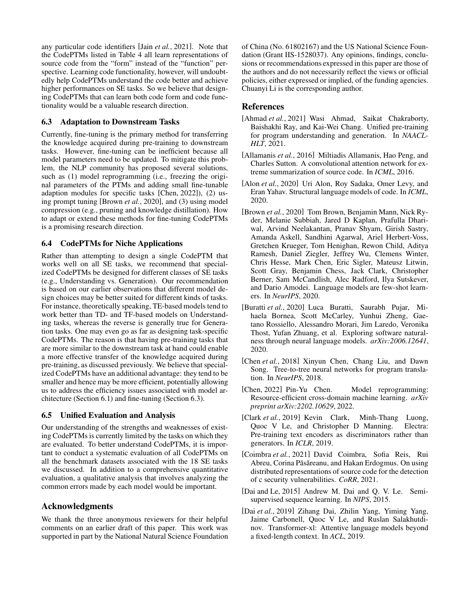any particular code identifiers [Jain *et al.*[, 2021\]](#page-7-22). Note that the CodePTMs listed in Table [4](#page-4-0) all learn representations of source code from the "form" instead of the "function" perspective. Learning code functionality, however, will undoubtedly help CodePTMs understand the code better and achieve higher performances on SE tasks. So we believe that designing CodePTMs that can learn both code form and code functionality would be a valuable research direction.

# <span id="page-6-11"></span>6.3 Adaptation to Downstream Tasks

Currently, fine-tuning is the primary method for transferring the knowledge acquired during pre-training to downstream tasks. However, fine-tuning can be inefficient because all model parameters need to be updated. To mitigate this problem, the NLP community has proposed several solutions, such as (1) model reprogramming (i.e., freezing the original parameters of the PTMs and adding small fine-tunable adaption modules for specific tasks [\[Chen, 2022\]](#page-6-9)), (2) using prompt tuning [\[Brown](#page-6-10) *et al.*, 2020], and (3) using model compression (e.g., pruning and knowledge distillation). How to adapt or extend these methods for fine-tuning CodePTMs is a promising research direction.

# 6.4 CodePTMs for Niche Applications

Rather than attempting to design a single CodePTM that works well on all SE tasks, we recommend that specialized CodePTMs be designed for different classes of SE tasks (e.g., Understanding vs. Generation). Our recommendation is based on our earlier observations that different model design choices may be better suited for different kinds of tasks. For instance, theoretically speaking, TE-based models tend to work better than TD- and TF-based models on Understanding tasks, whereas the reverse is generally true for Generation tasks. One may even go as far as designing task-specific CodePTMs. The reason is that having pre-training tasks that are more similar to the downstream task at hand could enable a more effective transfer of the knowledge acquired during pre-training, as discussed previously. We believe that specialized CodePTMs have an additional advantage: they tend to be smaller and hence may be more efficient, potentially allowing us to address the efficiency issues associated with model architecture (Section [6.1\)](#page-5-1) and fine-tuning (Section [6.3\)](#page-6-11).

# 6.5 Unified Evaluation and Analysis

Our understanding of the strengths and weaknesses of existing CodePTMs is currently limited by the tasks on which they are evaluated. To better understand CodePTMs, it is important to conduct a systematic evaluation of all CodePTMs on all the benchmark datasets associated with the 18 SE tasks we discussed. In addition to a comprehensive quantitative evaluation, a qualitative analysis that involves analyzing the common errors made by each model would be important.

# Acknowledgments

We thank the three anonymous reviewers for their helpful comments on an earlier draft of this paper. This work was supported in part by the National Natural Science Foundation of China (No. 61802167) and the US National Science Foundation (Grant IIS-1528037). Any opinions, findings, conclusions or recommendations expressed in this paper are those of the authors and do not necessarily reflect the views or official policies, either expressed or implied, of the funding agencies. Chuanyi Li is the corresponding author.

# References

- <span id="page-6-6"></span>[Ahmad et al., 2021] Wasi Ahmad, Saikat Chakraborty, Baishakhi Ray, and Kai-Wei Chang. Unified pre-training for program understanding and generation. In *NAACL-HLT*, 2021.
- <span id="page-6-4"></span>[Allamanis *et al.*, 2016] Miltiadis Allamanis, Hao Peng, and Charles Sutton. A convolutional attention network for extreme summarization of source code. In *ICML*, 2016.
- <span id="page-6-2"></span>[Alon *et al.*, 2020] Uri Alon, Roy Sadaka, Omer Levy, and Eran Yahav. Structural language models of code. In *ICML*, 2020.
- <span id="page-6-10"></span>[Brown *et al.*, 2020] Tom Brown, Benjamin Mann, Nick Ryder, Melanie Subbiah, Jared D Kaplan, Prafulla Dhariwal, Arvind Neelakantan, Pranav Shyam, Girish Sastry, Amanda Askell, Sandhini Agarwal, Ariel Herbert-Voss, Gretchen Krueger, Tom Henighan, Rewon Child, Aditya Ramesh, Daniel Ziegler, Jeffrey Wu, Clemens Winter, Chris Hesse, Mark Chen, Eric Sigler, Mateusz Litwin, Scott Gray, Benjamin Chess, Jack Clark, Christopher Berner, Sam McCandlish, Alec Radford, Ilya Sutskever, and Dario Amodei. Language models are few-shot learners. In *NeurIPS*, 2020.
- <span id="page-6-5"></span>[Buratti *et al.*, 2020] Luca Buratti, Saurabh Pujar, Mihaela Bornea, Scott McCarley, Yunhui Zheng, Gaetano Rossiello, Alessandro Morari, Jim Laredo, Veronika Thost, Yufan Zhuang, et al. Exploring software naturalness through neural language models. *arXiv:2006.12641*, 2020.
- <span id="page-6-3"></span>[Chen *et al.*, 2018] Xinyun Chen, Chang Liu, and Dawn Song. Tree-to-tree neural networks for program translation. In *NeurIPS*, 2018.
- <span id="page-6-9"></span>[Chen, 2022] Pin-Yu Chen. Model reprogramming: Resource-efficient cross-domain machine learning. *arXiv preprint arXiv:2202.10629*, 2022.
- <span id="page-6-1"></span>[Clark *et al.*, 2019] Kevin Clark, Minh-Thang Luong, Quoc V Le, and Christopher D Manning. Electra: Pre-training text encoders as discriminators rather than generators. In *ICLR*, 2019.
- <span id="page-6-7"></span>[Coimbra *et al.*, 2021] David Coimbra, Sofia Reis, Rui Abreu, Corina Păsăreanu, and Hakan Erdogmus. On using distributed representations of source code for the detection of c security vulnerabilities. *CoRR*, 2021.
- <span id="page-6-0"></span>[Dai and Le, 2015] Andrew M. Dai and Q. V. Le. Semisupervised sequence learning. In *NIPS*, 2015.
- <span id="page-6-8"></span>[Dai *et al.*, 2019] Zihang Dai, Zhilin Yang, Yiming Yang, Jaime Carbonell, Quoc V Le, and Ruslan Salakhutdinov. Transformer-xl: Attentive language models beyond a fixed-length context. In *ACL*, 2019.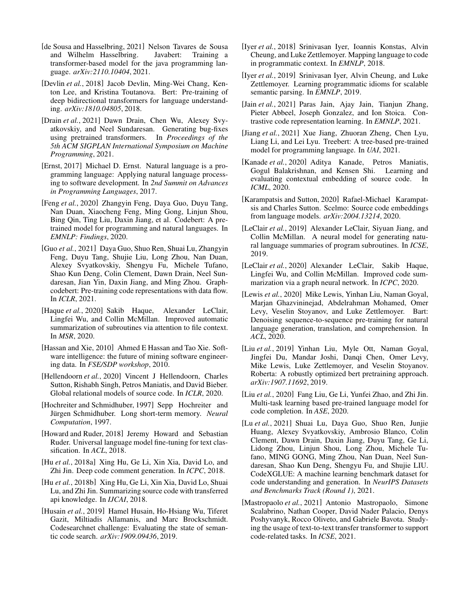- <span id="page-7-6"></span>[de Sousa and Hasselbring, 2021] Nelson Tavares de Sousa and Wilhelm Hasselbring. Javabert: Training a transformer-based model for the java programming language. *arXiv:2110.10404*, 2021.
- <span id="page-7-2"></span>[Devlin *et al.*, 2018] Jacob Devlin, Ming-Wei Chang, Kenton Lee, and Kristina Toutanova. Bert: Pre-training of deep bidirectional transformers for language understanding. *arXiv:1810.04805*, 2018.
- <span id="page-7-23"></span>[Drain *et al.*, 2021] Dawn Drain, Chen Wu, Alexey Svyatkovskiy, and Neel Sundaresan. Generating bug-fixes using pretrained transformers. In *Proceedings of the 5th ACM SIGPLAN International Symposium on Machine Programming*, 2021.
- <span id="page-7-20"></span>[Ernst, 2017] Michael D. Ernst. Natural language is a programming language: Applying natural language processing to software development. In *2nd Summit on Advances in Programming Languages*, 2017.
- <span id="page-7-17"></span>[Feng *et al.*, 2020] Zhangyin Feng, Daya Guo, Duyu Tang, Nan Duan, Xiaocheng Feng, Ming Gong, Linjun Shou, Bing Qin, Ting Liu, Daxin Jiang, et al. Codebert: A pretrained model for programming and natural languages. In *EMNLP: Findings*, 2020.
- <span id="page-7-18"></span>[Guo *et al.*, 2021] Daya Guo, Shuo Ren, Shuai Lu, Zhangyin Feng, Duyu Tang, Shujie Liu, Long Zhou, Nan Duan, Alexey Svyatkovskiy, Shengyu Fu, Michele Tufano, Shao Kun Deng, Colin Clement, Dawn Drain, Neel Sundaresan, Jian Yin, Daxin Jiang, and Ming Zhou. Graphcodebert: Pre-training code representations with data flow. In *ICLR*, 2021.
- <span id="page-7-10"></span>[Haque *et al.*, 2020] Sakib Haque, Alexander LeClair, Lingfei Wu, and Collin McMillan. Improved automatic summarization of subroutines via attention to file context. In *MSR*, 2020.
- <span id="page-7-0"></span>[Hassan and Xie, 2010] Ahmed E Hassan and Tao Xie. Software intelligence: the future of mining software engineering data. In *FSE/SDP workshop*, 2010.
- <span id="page-7-24"></span>[Hellendoorn *et al.*, 2020] Vincent J Hellendoorn, Charles Sutton, Rishabh Singh, Petros Maniatis, and David Bieber. Global relational models of source code. In *ICLR*, 2020.
- <span id="page-7-14"></span>[Hochreiter and Schmidhuber, 1997] Sepp Hochreiter and Jürgen Schmidhuber. Long short-term memory. Neural *Computation*, 1997.
- <span id="page-7-1"></span>[Howard and Ruder, 2018] Jeremy Howard and Sebastian Ruder. Universal language model fine-tuning for text classification. In *ACL*, 2018.
- <span id="page-7-11"></span>[Hu *et al.*, 2018a] Xing Hu, Ge Li, Xin Xia, David Lo, and Zhi Jin. Deep code comment generation. In *ICPC*, 2018.
- <span id="page-7-12"></span>[Hu *et al.*, 2018b] Xing Hu, Ge Li, Xin Xia, David Lo, Shuai Lu, and Zhi Jin. Summarizing source code with transferred api knowledge. In *IJCAI*, 2018.
- <span id="page-7-7"></span>[Husain *et al.*, 2019] Hamel Husain, Ho-Hsiang Wu, Tiferet Gazit, Miltiadis Allamanis, and Marc Brockschmidt. Codesearchnet challenge: Evaluating the state of semantic code search. *arXiv:1909.09436*, 2019.
- <span id="page-7-13"></span>[Iyer *et al.*, 2018] Srinivasan Iyer, Ioannis Konstas, Alvin Cheung, and Luke Zettlemoyer. Mapping language to code in programmatic context. In *EMNLP*, 2018.
- <span id="page-7-26"></span>[Iyer *et al.*, 2019] Srinivasan Iyer, Alvin Cheung, and Luke Zettlemoyer. Learning programmatic idioms for scalable semantic parsing. In *EMNLP*, 2019.
- <span id="page-7-22"></span>[Jain *et al.*, 2021] Paras Jain, Ajay Jain, Tianjun Zhang, Pieter Abbeel, Joseph Gonzalez, and Ion Stoica. Contrastive code representation learning. In *EMNLP*, 2021.
- <span id="page-7-19"></span>[Jiang *et al.*, 2021] Xue Jiang, Zhuoran Zheng, Chen Lyu, Liang Li, and Lei Lyu. Treebert: A tree-based pre-trained model for programming language. In *UAI*, 2021.
- <span id="page-7-5"></span>[Kanade *et al.*, 2020] Aditya Kanade, Petros Maniatis, Gogul Balakrishnan, and Kensen Shi. Learning and evaluating contextual embedding of source code. In *ICML*, 2020.
- <span id="page-7-15"></span>[Karampatsis and Sutton, 2020] Rafael-Michael Karampatsis and Charles Sutton. Scelmo: Source code embeddings from language models. *arXiv:2004.13214*, 2020.
- <span id="page-7-21"></span>[LeClair *et al.*, 2019] Alexander LeClair, Siyuan Jiang, and Collin McMillan. A neural model for generating natural language summaries of program subroutines. In *ICSE*, 2019.
- <span id="page-7-25"></span>[LeClair *et al.*, 2020] Alexander LeClair, Sakib Haque, Lingfei Wu, and Collin McMillan. Improved code summarization via a graph neural network. In *ICPC*, 2020.
- <span id="page-7-4"></span>[Lewis *et al.*, 2020] Mike Lewis, Yinhan Liu, Naman Goyal, Marjan Ghazvininejad, Abdelrahman Mohamed, Omer Levy, Veselin Stoyanov, and Luke Zettlemoyer. Bart: Denoising sequence-to-sequence pre-training for natural language generation, translation, and comprehension. In *ACL*, 2020.
- <span id="page-7-3"></span>[Liu *et al.*, 2019] Yinhan Liu, Myle Ott, Naman Goyal, Jingfei Du, Mandar Joshi, Danqi Chen, Omer Levy, Mike Lewis, Luke Zettlemoyer, and Veselin Stoyanov. Roberta: A robustly optimized bert pretraining approach. *arXiv:1907.11692*, 2019.
- <span id="page-7-9"></span>[Liu *et al.*, 2020] Fang Liu, Ge Li, Yunfei Zhao, and Zhi Jin. Multi-task learning based pre-trained language model for code completion. In *ASE*, 2020.
- <span id="page-7-8"></span>[Lu *et al.*, 2021] Shuai Lu, Daya Guo, Shuo Ren, Junjie Huang, Alexey Svyatkovskiy, Ambrosio Blanco, Colin Clement, Dawn Drain, Daxin Jiang, Duyu Tang, Ge Li, Lidong Zhou, Linjun Shou, Long Zhou, Michele Tufano, MING GONG, Ming Zhou, Nan Duan, Neel Sundaresan, Shao Kun Deng, Shengyu Fu, and Shujie LIU. CodeXGLUE: A machine learning benchmark dataset for code understanding and generation. In *NeurIPS Datasets and Benchmarks Track (Round 1)*, 2021.
- <span id="page-7-16"></span>[Mastropaolo *et al.*, 2021] Antonio Mastropaolo, Simone Scalabrino, Nathan Cooper, David Nader Palacio, Denys Poshyvanyk, Rocco Oliveto, and Gabriele Bavota. Studying the usage of text-to-text transfer transformer to support code-related tasks. In *ICSE*, 2021.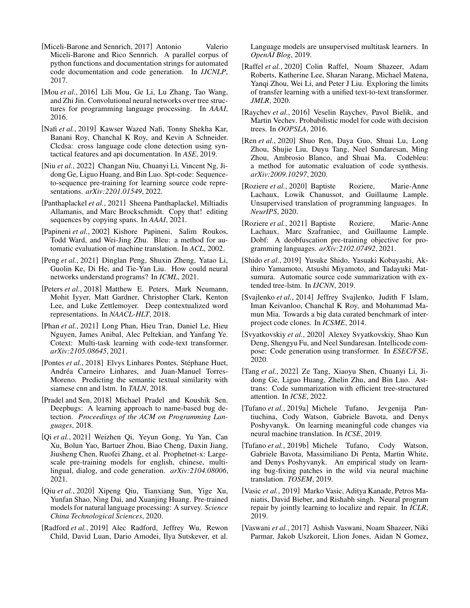- <span id="page-8-12"></span>[Miceli-Barone and Sennrich, 2017] Antonio Valerio Miceli-Barone and Rico Sennrich. A parallel corpus of python functions and documentation strings for automated code documentation and code generation. In *IJCNLP*, 2017.
- <span id="page-8-6"></span>[Mou *et al.*, 2016] Lili Mou, Ge Li, Lu Zhang, Tao Wang, and Zhi Jin. Convolutional neural networks over tree structures for programming language processing. In *AAAI*, 2016.
- <span id="page-8-5"></span>[Nafi *et al.*, 2019] Kawser Wazed Nafi, Tonny Shekha Kar, Banani Roy, Chanchal K Roy, and Kevin A Schneider. Clcdsa: cross language code clone detection using syntactical features and api documentation. In *ASE*, 2019.
- <span id="page-8-18"></span>[Niu *et al.*, 2022] Changan Niu, Chuanyi Li, Vincent Ng, Jidong Ge, Liguo Huang, and Bin Luo. Spt-code: Sequenceto-sequence pre-training for learning source code representations. *arXiv:2201.01549*, 2022.
- <span id="page-8-25"></span>[Panthaplackel *et al.*, 2021] Sheena Panthaplackel, Miltiadis Allamanis, and Marc Brockschmidt. Copy that! editing sequences by copying spans. In *AAAI*, 2021.
- <span id="page-8-14"></span>[Papineni *et al.*, 2002] Kishore Papineni, Salim Roukos, Todd Ward, and Wei-Jing Zhu. Bleu: a method for automatic evaluation of machine translation. In *ACL*, 2002.
- <span id="page-8-19"></span>[Peng *et al.*, 2021] Dinglan Peng, Shuxin Zheng, Yatao Li, Guolin Ke, Di He, and Tie-Yan Liu. How could neural networks understand programs? In *ICML*, 2021.
- <span id="page-8-0"></span>[Peters *et al.*, 2018] Matthew E. Peters, Mark Neumann, Mohit Iyyer, Matt Gardner, Christopher Clark, Kenton Lee, and Luke Zettlemoyer. Deep contextualized word representations. In *NAACL-HLT*, 2018.
- <span id="page-8-22"></span>[Phan *et al.*, 2021] Long Phan, Hieu Tran, Daniel Le, Hieu Nguyen, James Anibal, Alec Peltekian, and Yanfang Ye. Cotext: Multi-task learning with code-text transformer. *arXiv:2105.08645*, 2021.
- <span id="page-8-24"></span>[Pontes et al., 2018] Elvys Linhares Pontes, Stéphane Huet, Andréa Carneiro Linhares, and Juan-Manuel Torres-Moreno. Predicting the semantic textual similarity with siamese cnn and lstm. In *TALN*, 2018.
- <span id="page-8-3"></span>[Pradel and Sen, 2018] Michael Pradel and Koushik Sen. Deepbugs: A learning approach to name-based bug detection. *Proceedings of the ACM on Programming Languages*, 2018.
- <span id="page-8-17"></span>[Qi *et al.*, 2021] Weizhen Qi, Yeyun Gong, Yu Yan, Can Xu, Bolun Yao, Bartuer Zhou, Biao Cheng, Daxin Jiang, Jiusheng Chen, Ruofei Zhang, et al. Prophetnet-x: Largescale pre-training models for english, chinese, multilingual, dialog, and code generation. *arXiv:2104.08006*, 2021.
- <span id="page-8-20"></span>[Qiu *et al.*, 2020] Xipeng Qiu, Tianxiang Sun, Yige Xu, Yunfan Shao, Ning Dai, and Xuanjing Huang. Pre-trained models for natural language processing: A survey. *Science China Technological Sciences*, 2020.
- <span id="page-8-1"></span>[Radford *et al.*, 2019] Alec Radford, Jeffrey Wu, Rewon Child, David Luan, Dario Amodei, Ilya Sutskever, et al.

Language models are unsupervised multitask learners. In *OpenAI Blog*, 2019.

- <span id="page-8-2"></span>[Raffel *et al.*, 2020] Colin Raffel, Noam Shazeer, Adam Roberts, Katherine Lee, Sharan Narang, Michael Matena, Yanqi Zhou, Wei Li, and Peter J Liu. Exploring the limits of transfer learning with a unified text-to-text transformer. *JMLR*, 2020.
- <span id="page-8-13"></span>[Raychev *et al.*, 2016] Veselin Raychev, Pavol Bielik, and Martin Vechev. Probabilistic model for code with decision trees. In *OOPSLA*, 2016.
- <span id="page-8-15"></span>[Ren *et al.*, 2020] Shuo Ren, Daya Guo, Shuai Lu, Long Zhou, Shujie Liu, Duyu Tang, Neel Sundaresan, Ming Zhou, Ambrosio Blanco, and Shuai Ma. Codebleu: a method for automatic evaluation of code synthesis. *arXiv:2009.10297*, 2020.
- <span id="page-8-9"></span>[Roziere *et al.*, 2020] Baptiste Roziere, Marie-Anne Lachaux, Lowik Chanussot, and Guillaume Lample. Unsupervised translation of programming languages. In *NeurIPS*, 2020.
- <span id="page-8-21"></span>[Roziere *et al.*, 2021] Baptiste Roziere, Marie-Anne Lachaux, Marc Szafraniec, and Guillaume Lample. Dobf: A deobfuscation pre-training objective for programming languages. *arXiv:2102.07492*, 2021.
- <span id="page-8-23"></span>[Shido *et al.*, 2019] Yusuke Shido, Yasuaki Kobayashi, Akihiro Yamamoto, Atsushi Miyamoto, and Tadayuki Matsumura. Automatic source code summarization with extended tree-lstm. In *IJCNN*, 2019.
- <span id="page-8-4"></span>[Svajlenko *et al.*, 2014] Jeffrey Svajlenko, Judith F Islam, Iman Keivanloo, Chanchal K Roy, and Mohammad Mamun Mia. Towards a big data curated benchmark of interproject code clones. In *ICSME*, 2014.
- <span id="page-8-8"></span>[Svyatkovskiy *et al.*, 2020] Alexey Svyatkovskiy, Shao Kun Deng, Shengyu Fu, and Neel Sundaresan. Intellicode compose: Code generation using transformer. In *ESEC/FSE*, 2020.
- <span id="page-8-26"></span>[Tang *et al.*, 2022] Ze Tang, Xiaoyu Shen, Chuanyi Li, Jidong Ge, Liguo Huang, Zhelin Zhu, and Bin Luo. Asttrans: Code summarization with efficient tree-structured attention. In *ICSE*, 2022.
- <span id="page-8-11"></span>[Tufano *et al.*, 2019a] Michele Tufano, Jevgenija Pantiuchina, Cody Watson, Gabriele Bavota, and Denys Poshyvanyk. On learning meaningful code changes via neural machine translation. In *ICSE*, 2019.
- <span id="page-8-10"></span>[Tufano *et al.*, 2019b] Michele Tufano, Cody Watson, Gabriele Bavota, Massimiliano Di Penta, Martin White, and Denys Poshyvanyk. An empirical study on learning bug-fixing patches in the wild via neural machine translation. *TOSEM*, 2019.
- <span id="page-8-7"></span>[Vasic *et al.*, 2019] Marko Vasic, Aditya Kanade, Petros Maniatis, David Bieber, and Rishabh singh. Neural program repair by jointly learning to localize and repair. In *ICLR*, 2019.
- <span id="page-8-16"></span>[Vaswani *et al.*, 2017] Ashish Vaswani, Noam Shazeer, Niki Parmar, Jakob Uszkoreit, Llion Jones, Aidan N Gomez,